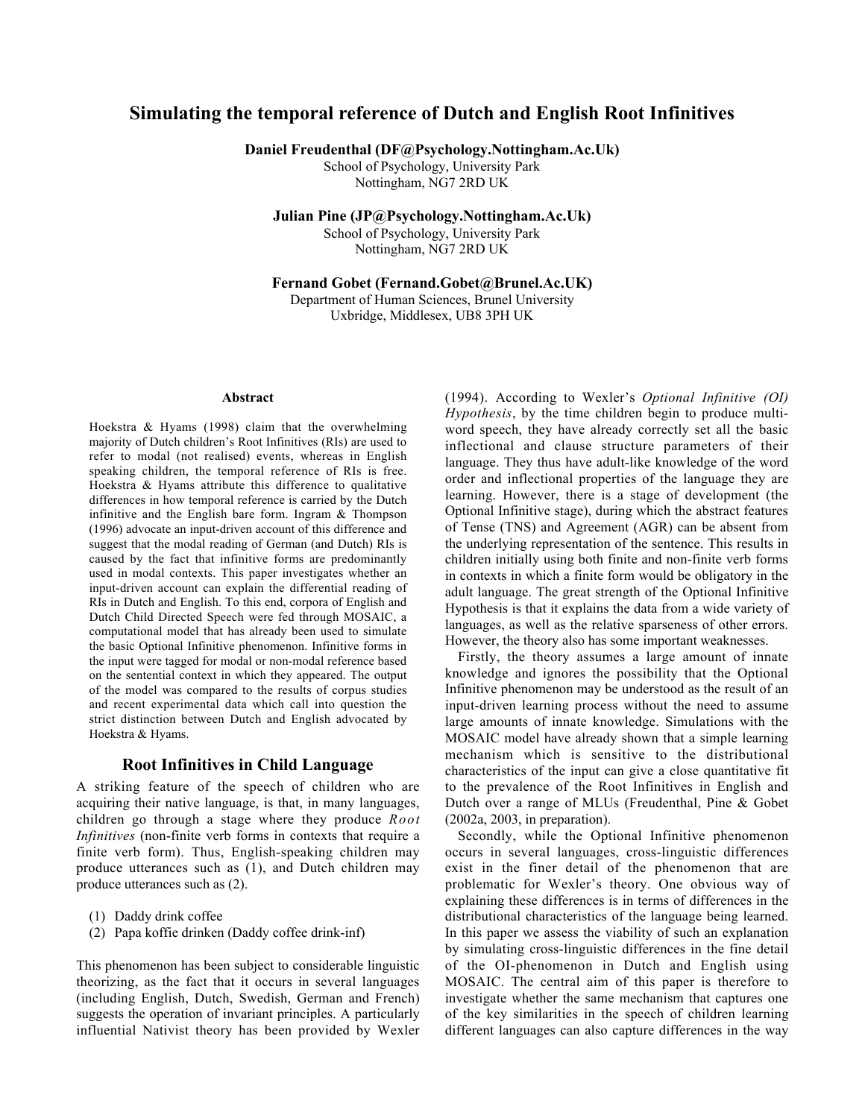# Simulating the temporal reference of Dutch and English Root Infinitives

Daniel Freudenthal (DF@Psychology.Nottingham.Ac.Uk)

School of Psychology, University Park Nottingham, NG7 2RD UK

Julian Pine (JP@Psychology.Nottingham.Ac.Uk)

School of Psychology, University Park Nottingham, NG7 2RD UK

Fernand Gobet (Fernand.Gobet@Brunel.Ac.UK)

Department of Human Sciences, Brunel University Uxbridge, Middlesex, UB8 3PH UK

#### Abstract

Hoekstra & Hyams (1998) claim that the overwhelming majority of Dutch children's Root Infinitives (RIs) are used to refer to modal (not realised) events, whereas in English speaking children, the temporal reference of RIs is free. Hoekstra & Hyams attribute this difference to qualitative differences in how temporal reference is carried by the Dutch infinitive and the English bare form. Ingram & Thompson (1996) advocate an input-driven account of this difference and suggest that the modal reading of German (and Dutch) RIs is caused by the fact that infinitive forms are predominantly used in modal contexts. This paper investigates whether an input-driven account can explain the differential reading of RIs in Dutch and English. To this end, corpora of English and Dutch Child Directed Speech were fed through MOSAIC, a computational model that has already been used to simulate the basic Optional Infinitive phenomenon. Infinitive forms in the input were tagged for modal or non-modal reference based on the sentential context in which they appeared. The output of the model was compared to the results of corpus studies and recent experimental data which call into question the strict distinction between Dutch and English advocated by Hoekstra & Hyams.

### Root Infinitives in Child Language

A striking feature of the speech of children who are acquiring their native language, is that, in many languages, children go through a stage where they produce *Root Infinitives* (non-finite verb forms in contexts that require a finite verb form). Thus, English-speaking children may produce utterances such as (1), and Dutch children may produce utterances such as (2).

- (1) Daddy drink coffee
- (2) Papa koffie drinken (Daddy coffee drink-inf)

This phenomenon has been subject to considerable linguistic theorizing, as the fact that it occurs in several languages (including English, Dutch, Swedish, German and French) suggests the operation of invariant principles. A particularly influential Nativist theory has been provided by Wexler (1994). According to Wexler's *Optional Infinitive (OI) Hypothesis*, by the time children begin to produce multiword speech, they have already correctly set all the basic inflectional and clause structure parameters of their language. They thus have adult-like knowledge of the word order and inflectional properties of the language they are learning. However, there is a stage of development (the Optional Infinitive stage), during which the abstract features of Tense (TNS) and Agreement (AGR) can be absent from the underlying representation of the sentence. This results in children initially using both finite and non-finite verb forms in contexts in which a finite form would be obligatory in the adult language. The great strength of the Optional Infinitive Hypothesis is that it explains the data from a wide variety of languages, as well as the relative sparseness of other errors. However, the theory also has some important weaknesses.

Firstly, the theory assumes a large amount of innate knowledge and ignores the possibility that the Optional Infinitive phenomenon may be understood as the result of an input-driven learning process without the need to assume large amounts of innate knowledge. Simulations with the MOSAIC model have already shown that a simple learning mechanism which is sensitive to the distributional characteristics of the input can give a close quantitative fit to the prevalence of the Root Infinitives in English and Dutch over a range of MLUs (Freudenthal, Pine & Gobet (2002a, 2003, in preparation).

Secondly, while the Optional Infinitive phenomenon occurs in several languages, cross-linguistic differences exist in the finer detail of the phenomenon that are problematic for Wexler's theory. One obvious way of explaining these differences is in terms of differences in the distributional characteristics of the language being learned. In this paper we assess the viability of such an explanation by simulating cross-linguistic differences in the fine detail of the OI-phenomenon in Dutch and English using MOSAIC. The central aim of this paper is therefore to investigate whether the same mechanism that captures one of the key similarities in the speech of children learning different languages can also capture differences in the way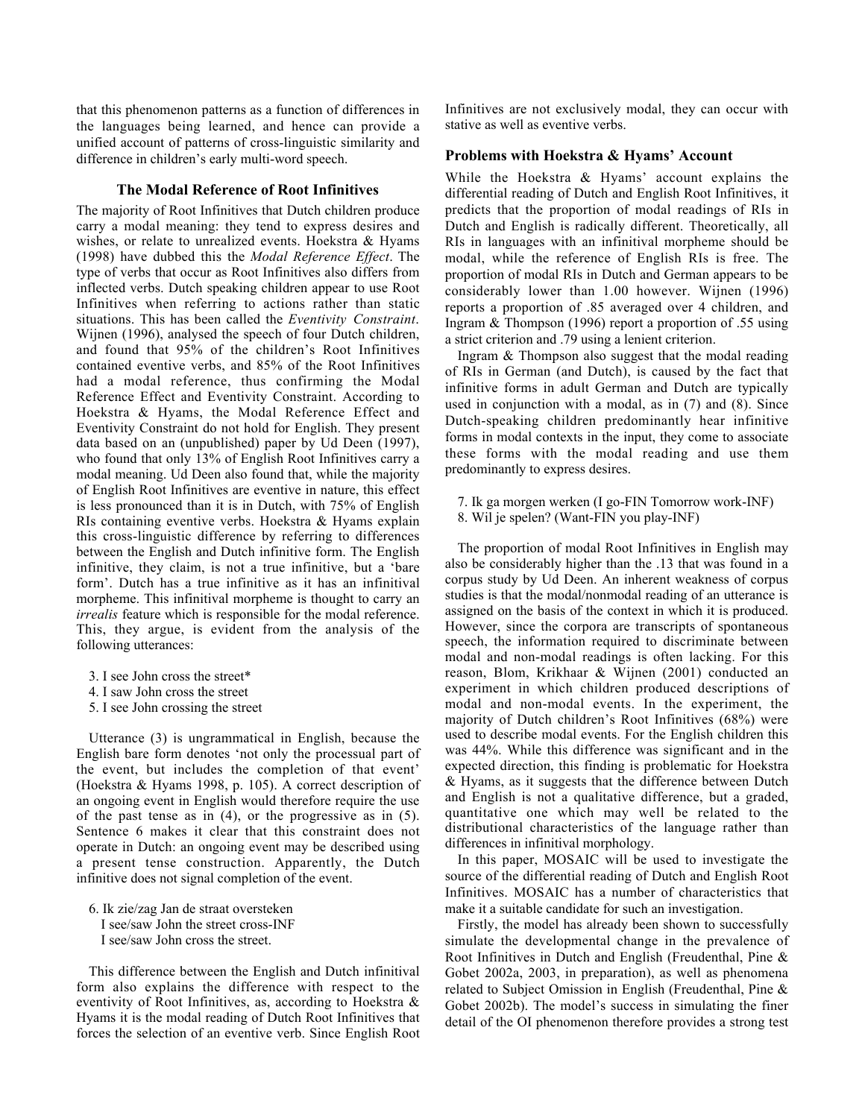that this phenomenon patterns as a function of differences in the languages being learned, and hence can provide a unified account of patterns of cross-linguistic similarity and difference in children's early multi-word speech.

#### The Modal Reference of Root Infinitives

The majority of Root Infinitives that Dutch children produce carry a modal meaning: they tend to express desires and wishes, or relate to unrealized events. Hoekstra & Hyams (1998) have dubbed this the *Modal Reference Effect*. The type of verbs that occur as Root Infinitives also differs from inflected verbs. Dutch speaking children appear to use Root Infinitives when referring to actions rather than static situations. This has been called the *Eventivity Constraint*. Wijnen (1996), analysed the speech of four Dutch children, and found that 95% of the children's Root Infinitives contained eventive verbs, and 85% of the Root Infinitives had a modal reference, thus confirming the Modal Reference Effect and Eventivity Constraint. According to Hoekstra & Hyams, the Modal Reference Effect and Eventivity Constraint do not hold for English. They present data based on an (unpublished) paper by Ud Deen (1997), who found that only 13% of English Root Infinitives carry a modal meaning. Ud Deen also found that, while the majority of English Root Infinitives are eventive in nature, this effect is less pronounced than it is in Dutch, with 75% of English RIs containing eventive verbs. Hoekstra & Hyams explain this cross-linguistic difference by referring to differences between the English and Dutch infinitive form. The English infinitive, they claim, is not a true infinitive, but a 'bare form'. Dutch has a true infinitive as it has an infinitival morpheme. This infinitival morpheme is thought to carry an *irrealis* feature which is responsible for the modal reference. This, they argue, is evident from the analysis of the following utterances:

- 3. I see John cross the street\*
- 4. I saw John cross the street
- 5. I see John crossing the street

Utterance (3) is ungrammatical in English, because the English bare form denotes 'not only the processual part of the event, but includes the completion of that event' (Hoekstra & Hyams 1998, p. 105). A correct description of an ongoing event in English would therefore require the use of the past tense as in (4), or the progressive as in (5). Sentence 6 makes it clear that this constraint does not operate in Dutch: an ongoing event may be described using a present tense construction. Apparently, the Dutch infinitive does not signal completion of the event.

6. Ik zie/zag Jan de straat oversteken I see/saw John the street cross-INF I see/saw John cross the street.

This difference between the English and Dutch infinitival form also explains the difference with respect to the eventivity of Root Infinitives, as, according to Hoekstra & Hyams it is the modal reading of Dutch Root Infinitives that forces the selection of an eventive verb. Since English Root Infinitives are not exclusively modal, they can occur with stative as well as eventive verbs.

#### Problems with Hoekstra & Hyams' Account

While the Hoekstra & Hyams' account explains the differential reading of Dutch and English Root Infinitives, it predicts that the proportion of modal readings of RIs in Dutch and English is radically different. Theoretically, all RIs in languages with an infinitival morpheme should be modal, while the reference of English RIs is free. The proportion of modal RIs in Dutch and German appears to be considerably lower than 1.00 however. Wijnen (1996) reports a proportion of .85 averaged over 4 children, and Ingram & Thompson (1996) report a proportion of .55 using a strict criterion and .79 using a lenient criterion.

Ingram & Thompson also suggest that the modal reading of RIs in German (and Dutch), is caused by the fact that infinitive forms in adult German and Dutch are typically used in conjunction with a modal, as in (7) and (8). Since Dutch-speaking children predominantly hear infinitive forms in modal contexts in the input, they come to associate these forms with the modal reading and use them predominantly to express desires.

7. Ik ga morgen werken (I go-FIN Tomorrow work-INF) 8. Wil je spelen? (Want-FIN you play-INF)

The proportion of modal Root Infinitives in English may also be considerably higher than the .13 that was found in a corpus study by Ud Deen. An inherent weakness of corpus studies is that the modal/nonmodal reading of an utterance is assigned on the basis of the context in which it is produced. However, since the corpora are transcripts of spontaneous speech, the information required to discriminate between modal and non-modal readings is often lacking. For this reason, Blom, Krikhaar & Wijnen (2001) conducted an experiment in which children produced descriptions of modal and non-modal events. In the experiment, the majority of Dutch children's Root Infinitives (68%) were used to describe modal events. For the English children this was 44%. While this difference was significant and in the expected direction, this finding is problematic for Hoekstra & Hyams, as it suggests that the difference between Dutch and English is not a qualitative difference, but a graded, quantitative one which may well be related to the distributional characteristics of the language rather than differences in infinitival morphology.

In this paper, MOSAIC will be used to investigate the source of the differential reading of Dutch and English Root Infinitives. MOSAIC has a number of characteristics that make it a suitable candidate for such an investigation.

Firstly, the model has already been shown to successfully simulate the developmental change in the prevalence of Root Infinitives in Dutch and English (Freudenthal, Pine & Gobet 2002a, 2003, in preparation), as well as phenomena related to Subject Omission in English (Freudenthal, Pine & Gobet 2002b). The model's success in simulating the finer detail of the OI phenomenon therefore provides a strong test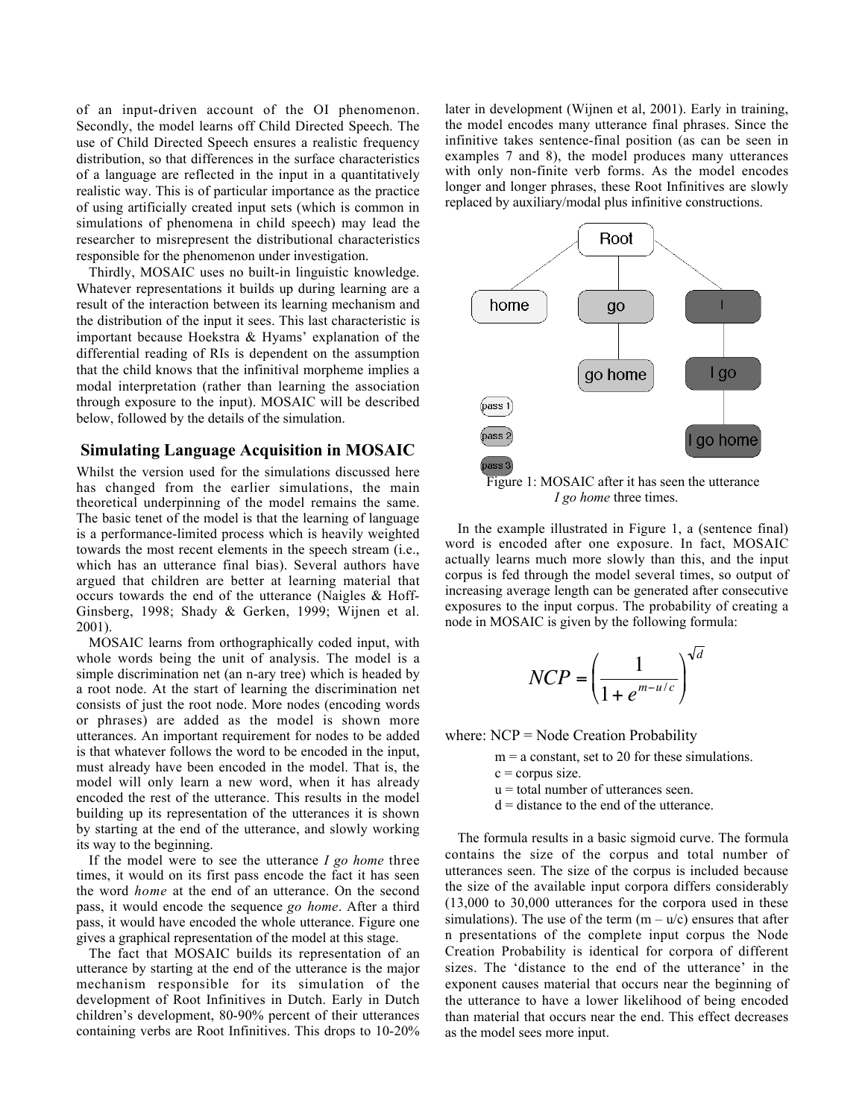of an input-driven account of the OI phenomenon. Secondly, the model learns off Child Directed Speech. The use of Child Directed Speech ensures a realistic frequency distribution, so that differences in the surface characteristics of a language are reflected in the input in a quantitatively realistic way. This is of particular importance as the practice of using artificially created input sets (which is common in simulations of phenomena in child speech) may lead the researcher to misrepresent the distributional characteristics responsible for the phenomenon under investigation.

Thirdly, MOSAIC uses no built-in linguistic knowledge. Whatever representations it builds up during learning are a result of the interaction between its learning mechanism and the distribution of the input it sees. This last characteristic is important because Hoekstra & Hyams' explanation of the differential reading of RIs is dependent on the assumption that the child knows that the infinitival morpheme implies a modal interpretation (rather than learning the association through exposure to the input). MOSAIC will be described below, followed by the details of the simulation.

# Simulating Language Acquisition in MOSAIC

Whilst the version used for the simulations discussed here has changed from the earlier simulations, the main theoretical underpinning of the model remains the same. The basic tenet of the model is that the learning of language is a performance-limited process which is heavily weighted towards the most recent elements in the speech stream (i.e., which has an utterance final bias). Several authors have argued that children are better at learning material that occurs towards the end of the utterance (Naigles & Hoff-Ginsberg, 1998; Shady & Gerken, 1999; Wijnen et al. 2001).

MOSAIC learns from orthographically coded input, with whole words being the unit of analysis. The model is a simple discrimination net (an n-ary tree) which is headed by a root node. At the start of learning the discrimination net consists of just the root node. More nodes (encoding words or phrases) are added as the model is shown more utterances. An important requirement for nodes to be added is that whatever follows the word to be encoded in the input, must already have been encoded in the model. That is, the model will only learn a new word, when it has already encoded the rest of the utterance. This results in the model building up its representation of the utterances it is shown by starting at the end of the utterance, and slowly working its way to the beginning.

If the model were to see the utterance *I go home* three times, it would on its first pass encode the fact it has seen the word *home* at the end of an utterance. On the second pass, it would encode the sequence *go home*. After a third pass, it would have encoded the whole utterance. Figure one gives a graphical representation of the model at this stage.

The fact that MOSAIC builds its representation of an utterance by starting at the end of the utterance is the major mechanism responsible for its simulation of the development of Root Infinitives in Dutch. Early in Dutch children's development, 80-90% percent of their utterances containing verbs are Root Infinitives. This drops to 10-20% later in development (Wijnen et al, 2001). Early in training, the model encodes many utterance final phrases. Since the infinitive takes sentence-final position (as can be seen in examples 7 and 8), the model produces many utterances with only non-finite verb forms. As the model encodes longer and longer phrases, these Root Infinitives are slowly replaced by auxiliary/modal plus infinitive constructions.



*I go home* three times.

In the example illustrated in Figure 1, a (sentence final) word is encoded after one exposure. In fact, MOSAIC actually learns much more slowly than this, and the input corpus is fed through the model several times, so output of increasing average length can be generated after consecutive exposures to the input corpus. The probability of creating a node in MOSAIC is given by the following formula:

$$
NCP = \left(\frac{1}{1 + e^{m - u/c}}\right)^{\sqrt{d}}
$$

where: NCP = Node Creation Probability

 $m = a$  constant, set to 20 for these simulations.

 $c =$ corpus size.

u = total number of utterances seen.

 $d =$  distance to the end of the utterance.

The formula results in a basic sigmoid curve. The formula contains the size of the corpus and total number of utterances seen. The size of the corpus is included because the size of the available input corpora differs considerably (13,000 to 30,000 utterances for the corpora used in these simulations). The use of the term  $(m - u/c)$  ensures that after n presentations of the complete input corpus the Node Creation Probability is identical for corpora of different sizes. The 'distance to the end of the utterance' in the exponent causes material that occurs near the beginning of the utterance to have a lower likelihood of being encoded than material that occurs near the end. This effect decreases as the model sees more input.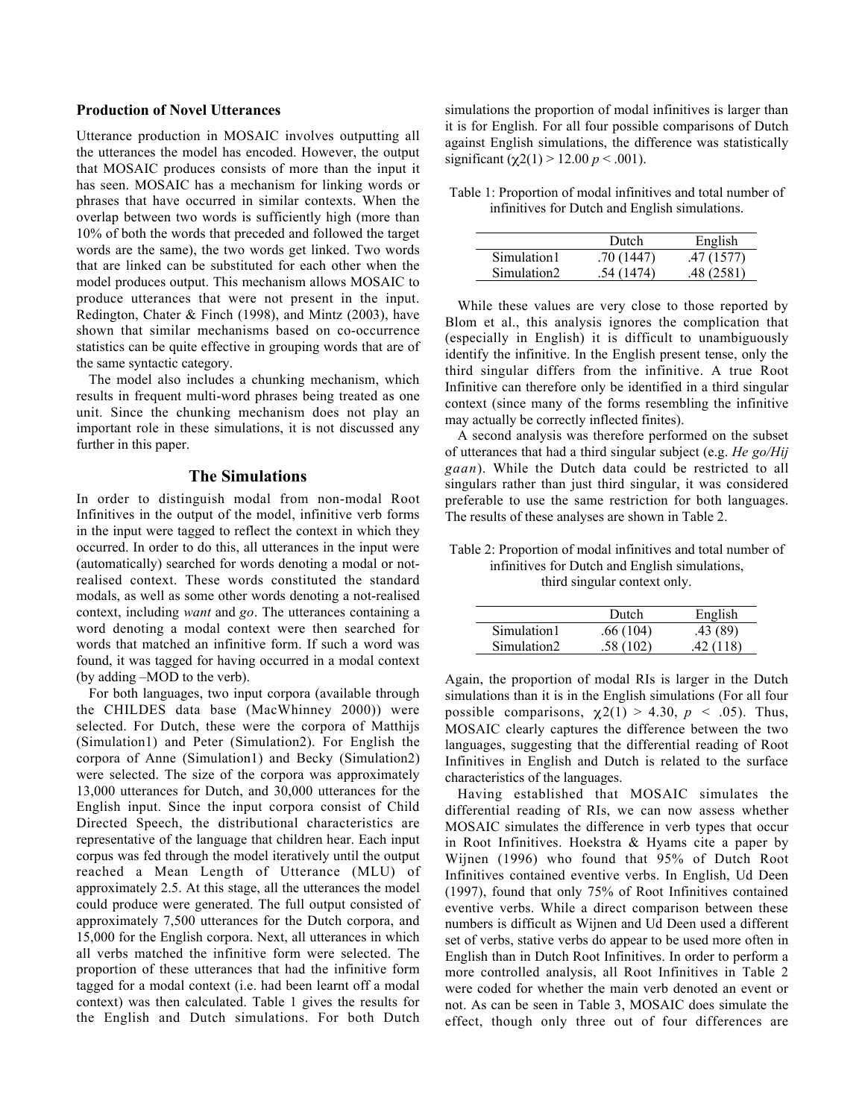#### Production of Novel Utterances

Utterance production in MOSAIC involves outputting all the utterances the model has encoded. However, the output that MOSAIC produces consists of more than the input it has seen. MOSAIC has a mechanism for linking words or phrases that have occurred in similar contexts. When the overlap between two words is sufficiently high (more than 10% of both the words that preceded and followed the target words are the same), the two words get linked. Two words that are linked can be substituted for each other when the model produces output. This mechanism allows MOSAIC to produce utterances that were not present in the input. Redington, Chater & Finch (1998), and Mintz (2003), have shown that similar mechanisms based on co-occurrence statistics can be quite effective in grouping words that are of the same syntactic category.

The model also includes a chunking mechanism, which results in frequent multi-word phrases being treated as one unit. Since the chunking mechanism does not play an important role in these simulations, it is not discussed any further in this paper.

#### The Simulations

In order to distinguish modal from non-modal Root Infinitives in the output of the model, infinitive verb forms in the input were tagged to reflect the context in which they occurred. In order to do this, all utterances in the input were (automatically) searched for words denoting a modal or notrealised context. These words constituted the standard modals, as well as some other words denoting a not-realised context, including *want* and *go*. The utterances containing a word denoting a modal context were then searched for words that matched an infinitive form. If such a word was found, it was tagged for having occurred in a modal context (by adding –MOD to the verb).

For both languages, two input corpora (available through the CHILDES data base (MacWhinney 2000)) were selected. For Dutch, these were the corpora of Matthijs (Simulation1) and Peter (Simulation2). For English the corpora of Anne (Simulation1) and Becky (Simulation2) were selected. The size of the corpora was approximately 13,000 utterances for Dutch, and 30,000 utterances for the English input. Since the input corpora consist of Child Directed Speech, the distributional characteristics are representative of the language that children hear. Each input corpus was fed through the model iteratively until the output reached a Mean Length of Utterance (MLU) of approximately 2.5. At this stage, all the utterances the model could produce were generated. The full output consisted of approximately 7,500 utterances for the Dutch corpora, and 15,000 for the English corpora. Next, all utterances in which all verbs matched the infinitive form were selected. The proportion of these utterances that had the infinitive form tagged for a modal context (i.e. had been learnt off a modal context) was then calculated. Table 1 gives the results for the English and Dutch simulations. For both Dutch

simulations the proportion of modal infinitives is larger than it is for English. For all four possible comparisons of Dutch against English simulations, the difference was statistically significant ( $\chi$ 2(1) > 12.00 *p* < .001).

Table 1: Proportion of modal infinitives and total number of infinitives for Dutch and English simulations.

|             | Dutch     | English   |
|-------------|-----------|-----------|
| Simulation1 | .70(1447) | .47(1577) |
| Simulation2 | .54(1474) | .48(2581) |

While these values are very close to those reported by Blom et al., this analysis ignores the complication that (especially in English) it is difficult to unambiguously identify the infinitive. In the English present tense, only the third singular differs from the infinitive. A true Root Infinitive can therefore only be identified in a third singular context (since many of the forms resembling the infinitive may actually be correctly inflected finites).

A second analysis was therefore performed on the subset of utterances that had a third singular subject (e.g. *He go/Hij gaan*). While the Dutch data could be restricted to all singulars rather than just third singular, it was considered preferable to use the same restriction for both languages. The results of these analyses are shown in Table 2.

Table 2: Proportion of modal infinitives and total number of infinitives for Dutch and English simulations, third singular context only.

|             | Dutch    | English   |
|-------------|----------|-----------|
| Simulation1 | .66(104) | .43(89)   |
| Simulation2 | .58(102) | .42 (118) |

Again, the proportion of modal RIs is larger in the Dutch simulations than it is in the English simulations (For all four possible comparisons,  $\chi$ 2(1) > 4.30,  $p$  < .05). Thus, MOSAIC clearly captures the difference between the two languages, suggesting that the differential reading of Root Infinitives in English and Dutch is related to the surface characteristics of the languages.

Having established that MOSAIC simulates the differential reading of RIs, we can now assess whether MOSAIC simulates the difference in verb types that occur in Root Infinitives. Hoekstra & Hyams cite a paper by Wijnen (1996) who found that 95% of Dutch Root Infinitives contained eventive verbs. In English, Ud Deen (1997), found that only 75% of Root Infinitives contained eventive verbs. While a direct comparison between these numbers is difficult as Wijnen and Ud Deen used a different set of verbs, stative verbs do appear to be used more often in English than in Dutch Root Infinitives. In order to perform a more controlled analysis, all Root Infinitives in Table 2 were coded for whether the main verb denoted an event or not. As can be seen in Table 3, MOSAIC does simulate the effect, though only three out of four differences are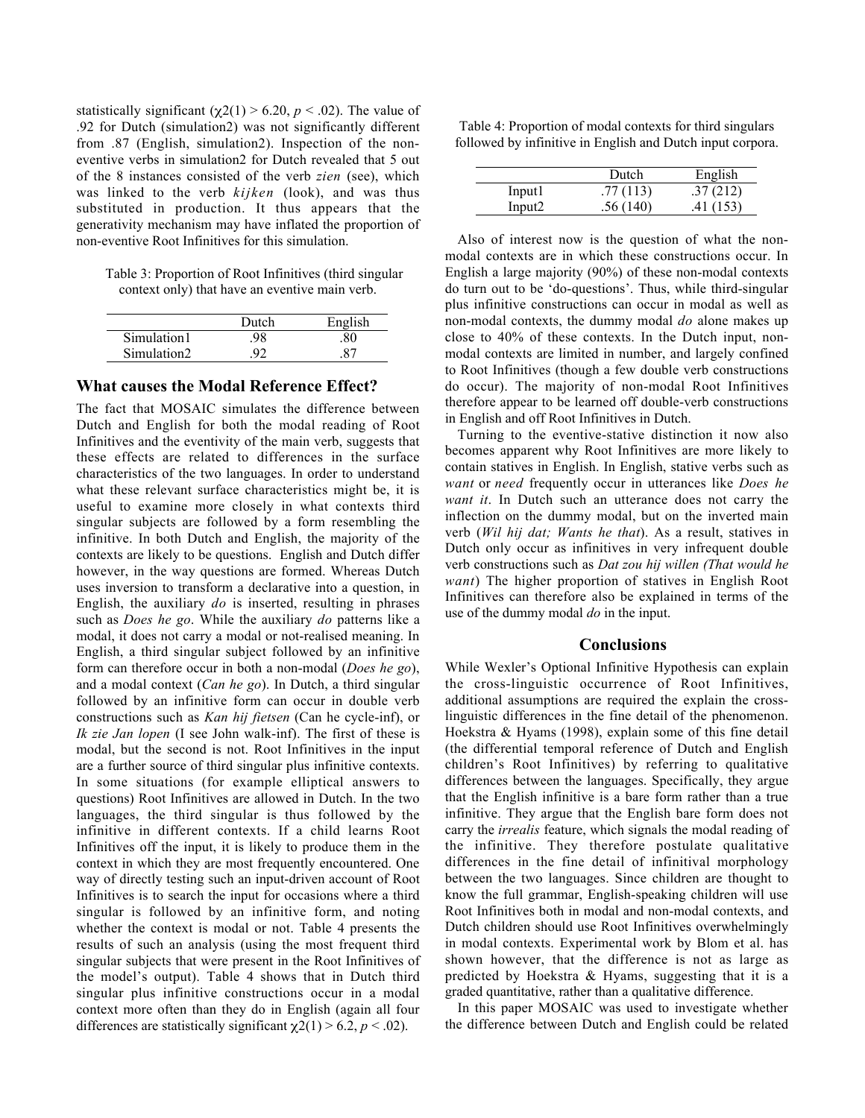statistically significant ( $\chi$ 2(1) > 6.20, *p* < .02). The value of .92 for Dutch (simulation2) was not significantly different from .87 (English, simulation2). Inspection of the noneventive verbs in simulation2 for Dutch revealed that 5 out of the 8 instances consisted of the verb *zien* (see), which was linked to the verb *kijken* (look), and was thus substituted in production. It thus appears that the generativity mechanism may have inflated the proportion of non-eventive Root Infinitives for this simulation.

Table 3: Proportion of Root Infinitives (third singular context only) that have an eventive main verb.

|             | Dutch | English |
|-------------|-------|---------|
| Simulation1 |       |         |
| Simulation2 |       |         |

## What causes the Modal Reference Effect?

The fact that MOSAIC simulates the difference between Dutch and English for both the modal reading of Root Infinitives and the eventivity of the main verb, suggests that these effects are related to differences in the surface characteristics of the two languages. In order to understand what these relevant surface characteristics might be, it is useful to examine more closely in what contexts third singular subjects are followed by a form resembling the infinitive. In both Dutch and English, the majority of the contexts are likely to be questions. English and Dutch differ however, in the way questions are formed. Whereas Dutch uses inversion to transform a declarative into a question, in English, the auxiliary *do* is inserted, resulting in phrases such as *Does he go*. While the auxiliary *do* patterns like a modal, it does not carry a modal or not-realised meaning. In English, a third singular subject followed by an infinitive form can therefore occur in both a non-modal (*Does he go*), and a modal context (*Can he go*). In Dutch, a third singular followed by an infinitive form can occur in double verb constructions such as *Kan hij fietsen* (Can he cycle-inf), or *Ik zie Jan lopen* (I see John walk-inf). The first of these is modal, but the second is not. Root Infinitives in the input are a further source of third singular plus infinitive contexts. In some situations (for example elliptical answers to questions) Root Infinitives are allowed in Dutch. In the two languages, the third singular is thus followed by the infinitive in different contexts. If a child learns Root Infinitives off the input, it is likely to produce them in the context in which they are most frequently encountered. One way of directly testing such an input-driven account of Root Infinitives is to search the input for occasions where a third singular is followed by an infinitive form, and noting whether the context is modal or not. Table 4 presents the results of such an analysis (using the most frequent third singular subjects that were present in the Root Infinitives of the model's output). Table 4 shows that in Dutch third singular plus infinitive constructions occur in a modal context more often than they do in English (again all four differences are statistically significant  $\chi$ 2(1) > 6.2, *p* < .02).

Table 4: Proportion of modal contexts for third singulars followed by infinitive in English and Dutch input corpora.

|         | Dutch    | English  |
|---------|----------|----------|
| Input l | .77(113) | .37(212) |
| Input2  | .56(140) | .41(153) |

Also of interest now is the question of what the nonmodal contexts are in which these constructions occur. In English a large majority (90%) of these non-modal contexts do turn out to be 'do-questions'. Thus, while third-singular plus infinitive constructions can occur in modal as well as non-modal contexts, the dummy modal *do* alone makes up close to 40% of these contexts. In the Dutch input, nonmodal contexts are limited in number, and largely confined to Root Infinitives (though a few double verb constructions do occur). The majority of non-modal Root Infinitives therefore appear to be learned off double-verb constructions in English and off Root Infinitives in Dutch.

Turning to the eventive-stative distinction it now also becomes apparent why Root Infinitives are more likely to contain statives in English. In English, stative verbs such as *want* or *need* frequently occur in utterances like *Does he want it*. In Dutch such an utterance does not carry the inflection on the dummy modal, but on the inverted main verb (*Wil hij dat; Wants he that*). As a result, statives in Dutch only occur as infinitives in very infrequent double verb constructions such as *Dat zou hij willen (That would he want*) The higher proportion of statives in English Root Infinitives can therefore also be explained in terms of the use of the dummy modal *do* in the input.

#### **Conclusions**

While Wexler's Optional Infinitive Hypothesis can explain the cross-linguistic occurrence of Root Infinitives, additional assumptions are required the explain the crosslinguistic differences in the fine detail of the phenomenon. Hoekstra & Hyams (1998), explain some of this fine detail (the differential temporal reference of Dutch and English children's Root Infinitives) by referring to qualitative differences between the languages. Specifically, they argue that the English infinitive is a bare form rather than a true infinitive. They argue that the English bare form does not carry the *irrealis* feature, which signals the modal reading of the infinitive. They therefore postulate qualitative differences in the fine detail of infinitival morphology between the two languages. Since children are thought to know the full grammar, English-speaking children will use Root Infinitives both in modal and non-modal contexts, and Dutch children should use Root Infinitives overwhelmingly in modal contexts. Experimental work by Blom et al. has shown however, that the difference is not as large as predicted by Hoekstra & Hyams, suggesting that it is a graded quantitative, rather than a qualitative difference.

In this paper MOSAIC was used to investigate whether the difference between Dutch and English could be related